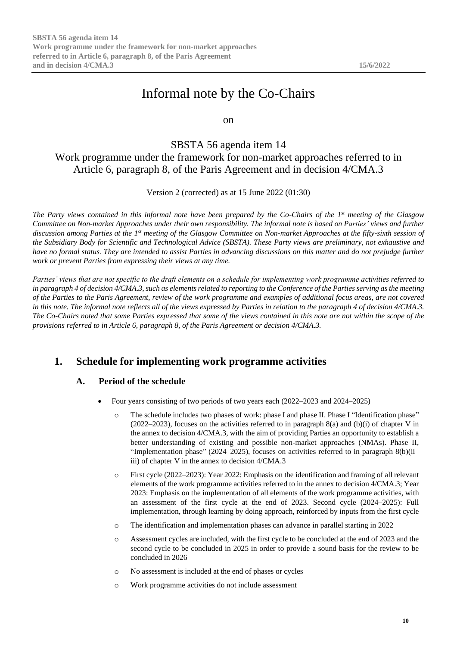# Informal note by the Co-Chairs

on

## SBSTA 56 agenda item 14 Work programme under the framework for non-market approaches referred to in Article 6, paragraph 8, of the Paris Agreement and in decision 4/CMA.3

Version 2 (corrected) as at 15 June 2022 (01:30)

*The Party views contained in this informal note have been prepared by the Co-Chairs of the 1st meeting of the Glasgow Committee on Non-market Approaches under their own responsibility. The informal note is based on Parties' views and further discussion among Parties at the 1st meeting of the Glasgow Committee on Non-market Approaches at the fifty-sixth session of the Subsidiary Body for Scientific and Technological Advice (SBSTA). These Party views are preliminary, not exhaustive and have no formal status. They are intended to assist Parties in advancing discussions on this matter and do not prejudge further work or prevent Parties from expressing their views at any time.*

*Parties' views that are not specific to the draft elements on a schedule for implementing work programme activities referred to in paragraph 4 of decision 4/CMA.3, such as elements related to reporting to the Conference of the Parties serving as the meeting of the Parties to the Paris Agreement, review of the work programme and examples of additional focus areas, are not covered in this note. The informal note reflects all of the views expressed by Parties in relation to the paragraph 4 of decision 4/CMA.3. The Co-Chairs noted that some Parties expressed that some of the views contained in this note are not within the scope of the provisions referred to in Article 6, paragraph 8, of the Paris Agreement or decision 4/CMA.3.*

## **1. Schedule for implementing work programme activities**

### **A. Period of the schedule**

- Four years consisting of two periods of two years each (2022–2023 and 2024–2025)
	- o The schedule includes two phases of work: phase I and phase II. Phase I "Identification phase"  $(2022-2023)$ , focuses on the activities referred to in paragraph 8(a) and (b)(i) of chapter V in the annex to decision 4/CMA.3, with the aim of providing Parties an opportunity to establish a better understanding of existing and possible non-market approaches (NMAs). Phase II, "Implementation phase" (2024–2025), focuses on activities referred to in paragraph 8(b)(ii– iii) of chapter V in the annex to decision 4/CMA.3
	- o First cycle (2022–2023): Year 2022: Emphasis on the identification and framing of all relevant elements of the work programme activities referred to in the annex to decision 4/CMA.3; Year 2023: Emphasis on the implementation of all elements of the work programme activities, with an assessment of the first cycle at the end of 2023. Second cycle (2024–2025): Full implementation, through learning by doing approach, reinforced by inputs from the first cycle
	- o The identification and implementation phases can advance in parallel starting in 2022
	- o Assessment cycles are included, with the first cycle to be concluded at the end of 2023 and the second cycle to be concluded in 2025 in order to provide a sound basis for the review to be concluded in 2026
	- o No assessment is included at the end of phases or cycles
	- o Work programme activities do not include assessment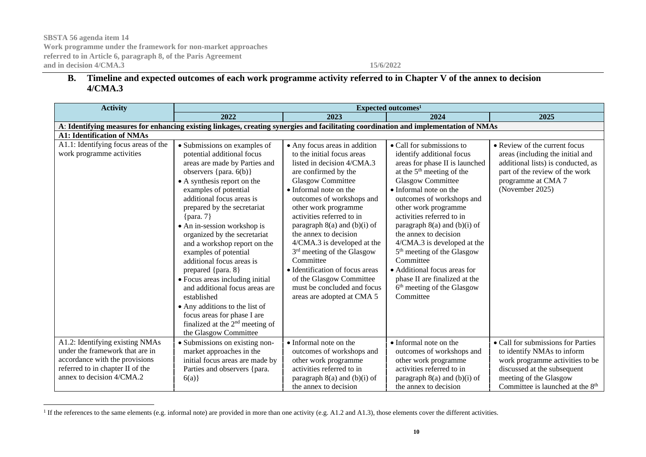## **B. Timeline and expected outcomes of each work programme activity referred to in Chapter V of the annex to decision 4/CMA.3**

| <b>Activity</b>                                                                                                                      | Expected outcomes <sup>1</sup>                                                                                                                                                                                                                                                                                                                                                                                                                                                                                                                                                                                                                              |                                                                                                                                                                                                                                                                                                                                                                                                                                                                                                                                          |                                                                                                                                                                                                                                                                                                                                                                                                                                                                                                                                            |                                                                                                                                                                                    |
|--------------------------------------------------------------------------------------------------------------------------------------|-------------------------------------------------------------------------------------------------------------------------------------------------------------------------------------------------------------------------------------------------------------------------------------------------------------------------------------------------------------------------------------------------------------------------------------------------------------------------------------------------------------------------------------------------------------------------------------------------------------------------------------------------------------|------------------------------------------------------------------------------------------------------------------------------------------------------------------------------------------------------------------------------------------------------------------------------------------------------------------------------------------------------------------------------------------------------------------------------------------------------------------------------------------------------------------------------------------|--------------------------------------------------------------------------------------------------------------------------------------------------------------------------------------------------------------------------------------------------------------------------------------------------------------------------------------------------------------------------------------------------------------------------------------------------------------------------------------------------------------------------------------------|------------------------------------------------------------------------------------------------------------------------------------------------------------------------------------|
|                                                                                                                                      | 2022                                                                                                                                                                                                                                                                                                                                                                                                                                                                                                                                                                                                                                                        | 2023                                                                                                                                                                                                                                                                                                                                                                                                                                                                                                                                     | 2024                                                                                                                                                                                                                                                                                                                                                                                                                                                                                                                                       | 2025                                                                                                                                                                               |
| A: Identifying measures for enhancing existing linkages, creating synergies and facilitating coordination and implementation of NMAs |                                                                                                                                                                                                                                                                                                                                                                                                                                                                                                                                                                                                                                                             |                                                                                                                                                                                                                                                                                                                                                                                                                                                                                                                                          |                                                                                                                                                                                                                                                                                                                                                                                                                                                                                                                                            |                                                                                                                                                                                    |
| <b>A1: Identification of NMAs</b>                                                                                                    |                                                                                                                                                                                                                                                                                                                                                                                                                                                                                                                                                                                                                                                             |                                                                                                                                                                                                                                                                                                                                                                                                                                                                                                                                          |                                                                                                                                                                                                                                                                                                                                                                                                                                                                                                                                            |                                                                                                                                                                                    |
| A1.1: Identifying focus areas of the<br>work programme activities                                                                    | • Submissions on examples of<br>potential additional focus<br>areas are made by Parties and<br>observers {para. $6(b)$ }<br>• A synthesis report on the<br>examples of potential<br>additional focus areas is<br>prepared by the secretariat<br>$\{para. 7\}$<br>• An in-session workshop is<br>organized by the secretariat<br>and a workshop report on the<br>examples of potential<br>additional focus areas is<br>prepared {para. 8}<br>• Focus areas including initial<br>and additional focus areas are<br>established<br>• Any additions to the list of<br>focus areas for phase I are<br>finalized at the $2nd$ meeting of<br>the Glasgow Committee | • Any focus areas in addition<br>to the initial focus areas<br>listed in decision 4/CMA.3<br>are confirmed by the<br><b>Glasgow Committee</b><br>• Informal note on the<br>outcomes of workshops and<br>other work programme<br>activities referred to in<br>paragraph $8(a)$ and $(b)(i)$ of<br>the annex to decision<br>4/CMA.3 is developed at the<br>3 <sup>rd</sup> meeting of the Glasgow<br>Committee<br>• Identification of focus areas<br>of the Glasgow Committee<br>must be concluded and focus<br>areas are adopted at CMA 5 | • Call for submissions to<br>identify additional focus<br>areas for phase II is launched<br>at the $5th$ meeting of the<br><b>Glasgow Committee</b><br>• Informal note on the<br>outcomes of workshops and<br>other work programme<br>activities referred to in<br>paragraph $8(a)$ and $(b)(i)$ of<br>the annex to decision<br>4/CMA.3 is developed at the<br>5 <sup>th</sup> meeting of the Glasgow<br>Committee<br>• Additional focus areas for<br>phase II are finalized at the<br>6 <sup>th</sup> meeting of the Glasgow<br>Committee | • Review of the current focus<br>areas (including the initial and<br>additional lists) is conducted, as<br>part of the review of the work<br>programme at CMA 7<br>(November 2025) |
| A1.2: Identifying existing NMAs                                                                                                      | • Submissions on existing non-                                                                                                                                                                                                                                                                                                                                                                                                                                                                                                                                                                                                                              | • Informal note on the                                                                                                                                                                                                                                                                                                                                                                                                                                                                                                                   | • Informal note on the                                                                                                                                                                                                                                                                                                                                                                                                                                                                                                                     | • Call for submissions for Parties                                                                                                                                                 |
| under the framework that are in                                                                                                      | market approaches in the                                                                                                                                                                                                                                                                                                                                                                                                                                                                                                                                                                                                                                    | outcomes of workshops and                                                                                                                                                                                                                                                                                                                                                                                                                                                                                                                | outcomes of workshops and                                                                                                                                                                                                                                                                                                                                                                                                                                                                                                                  | to identify NMAs to inform                                                                                                                                                         |
| accordance with the provisions                                                                                                       | initial focus areas are made by                                                                                                                                                                                                                                                                                                                                                                                                                                                                                                                                                                                                                             | other work programme                                                                                                                                                                                                                                                                                                                                                                                                                                                                                                                     | other work programme                                                                                                                                                                                                                                                                                                                                                                                                                                                                                                                       | work programme activities to be                                                                                                                                                    |
| referred to in chapter II of the<br>annex to decision 4/CMA.2                                                                        | Parties and observers {para.                                                                                                                                                                                                                                                                                                                                                                                                                                                                                                                                                                                                                                | activities referred to in                                                                                                                                                                                                                                                                                                                                                                                                                                                                                                                | activities referred to in                                                                                                                                                                                                                                                                                                                                                                                                                                                                                                                  | discussed at the subsequent                                                                                                                                                        |
|                                                                                                                                      | 6(a)                                                                                                                                                                                                                                                                                                                                                                                                                                                                                                                                                                                                                                                        | paragraph 8(a) and (b)(i) of                                                                                                                                                                                                                                                                                                                                                                                                                                                                                                             | paragraph 8(a) and (b)(i) of                                                                                                                                                                                                                                                                                                                                                                                                                                                                                                               | meeting of the Glasgow                                                                                                                                                             |
|                                                                                                                                      |                                                                                                                                                                                                                                                                                                                                                                                                                                                                                                                                                                                                                                                             | the annex to decision                                                                                                                                                                                                                                                                                                                                                                                                                                                                                                                    | the annex to decision                                                                                                                                                                                                                                                                                                                                                                                                                                                                                                                      | Committee is launched at the 8 <sup>th</sup>                                                                                                                                       |

<sup>&</sup>lt;sup>1</sup> If the references to the same elements (e.g. informal note) are provided in more than one activity (e.g. A1.2 and A1.3), those elements cover the different activities.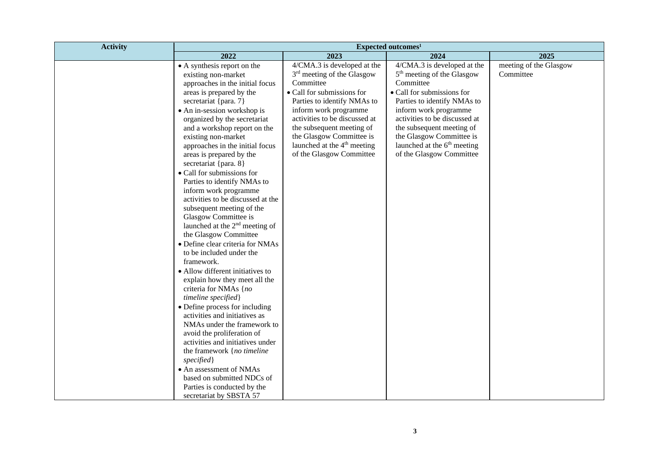| <b>Activity</b>                                                                                                                                                                                                                                                                                                                                                                                                                                                                                                                                                                                                                                                                                                                                                                                                                                                                                                                                                                                                                                                                                                            | Expected outcomes <sup>1</sup>                                                                                                                                                                                                                                                                                                  |                                                                                                                                                                                                                                                                                                                                           |                                     |  |
|----------------------------------------------------------------------------------------------------------------------------------------------------------------------------------------------------------------------------------------------------------------------------------------------------------------------------------------------------------------------------------------------------------------------------------------------------------------------------------------------------------------------------------------------------------------------------------------------------------------------------------------------------------------------------------------------------------------------------------------------------------------------------------------------------------------------------------------------------------------------------------------------------------------------------------------------------------------------------------------------------------------------------------------------------------------------------------------------------------------------------|---------------------------------------------------------------------------------------------------------------------------------------------------------------------------------------------------------------------------------------------------------------------------------------------------------------------------------|-------------------------------------------------------------------------------------------------------------------------------------------------------------------------------------------------------------------------------------------------------------------------------------------------------------------------------------------|-------------------------------------|--|
| 2022                                                                                                                                                                                                                                                                                                                                                                                                                                                                                                                                                                                                                                                                                                                                                                                                                                                                                                                                                                                                                                                                                                                       | 2023                                                                                                                                                                                                                                                                                                                            | 2024                                                                                                                                                                                                                                                                                                                                      | 2025                                |  |
| • A synthesis report on the<br>existing non-market<br>approaches in the initial focus<br>areas is prepared by the<br>secretariat {para. 7}<br>• An in-session workshop is<br>organized by the secretariat<br>and a workshop report on the<br>existing non-market<br>approaches in the initial focus<br>areas is prepared by the<br>secretariat {para. 8}<br>• Call for submissions for<br>Parties to identify NMAs to<br>inform work programme<br>activities to be discussed at the<br>subsequent meeting of the<br>Glasgow Committee is<br>launched at the 2 <sup>nd</sup> meeting of<br>the Glasgow Committee<br>• Define clear criteria for NMAs<br>to be included under the<br>framework.<br>• Allow different initiatives to<br>explain how they meet all the<br>criteria for NMAs {no<br>timeline specified}<br>• Define process for including<br>activities and initiatives as<br>NMAs under the framework to<br>avoid the proliferation of<br>activities and initiatives under<br>the framework {no timeline<br>specified}<br>• An assessment of NMAs<br>based on submitted NDCs of<br>Parties is conducted by the | 4/CMA.3 is developed at the<br>$3rd$ meeting of the Glasgow<br>Committee<br>• Call for submissions for<br>Parties to identify NMAs to<br>inform work programme<br>activities to be discussed at<br>the subsequent meeting of<br>the Glasgow Committee is<br>launched at the 4 <sup>th</sup> meeting<br>of the Glasgow Committee | 4/CMA.3 is developed at the<br>5 <sup>th</sup> meeting of the Glasgow<br>Committee<br>• Call for submissions for<br>Parties to identify NMAs to<br>inform work programme<br>activities to be discussed at<br>the subsequent meeting of<br>the Glasgow Committee is<br>launched at the 6 <sup>th</sup> meeting<br>of the Glasgow Committee | meeting of the Glasgow<br>Committee |  |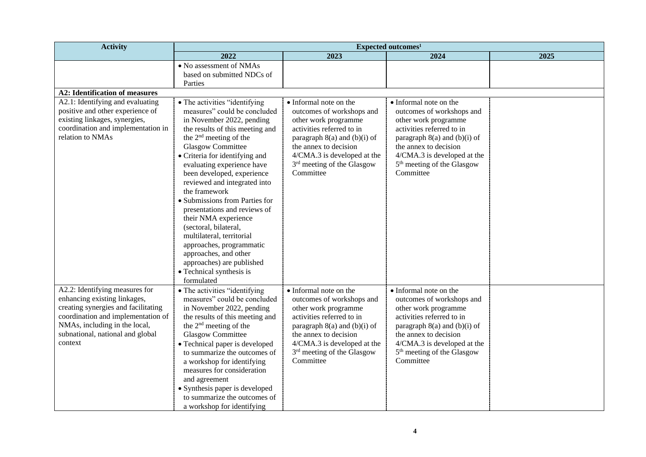| <b>Activity</b>                                                                                                                                                                                                             | Expected outcomes <sup>1</sup>                                                                                                                                                                                                                                                                                                                                                                                                                                                                                                                                                                                   |                                                                                                                                                                                                                                                             |                                                                                                                                                                                                                                                             |      |
|-----------------------------------------------------------------------------------------------------------------------------------------------------------------------------------------------------------------------------|------------------------------------------------------------------------------------------------------------------------------------------------------------------------------------------------------------------------------------------------------------------------------------------------------------------------------------------------------------------------------------------------------------------------------------------------------------------------------------------------------------------------------------------------------------------------------------------------------------------|-------------------------------------------------------------------------------------------------------------------------------------------------------------------------------------------------------------------------------------------------------------|-------------------------------------------------------------------------------------------------------------------------------------------------------------------------------------------------------------------------------------------------------------|------|
|                                                                                                                                                                                                                             | 2022                                                                                                                                                                                                                                                                                                                                                                                                                                                                                                                                                                                                             | 2023                                                                                                                                                                                                                                                        | 2024                                                                                                                                                                                                                                                        | 2025 |
|                                                                                                                                                                                                                             | • No assessment of NMAs<br>based on submitted NDCs of<br>Parties                                                                                                                                                                                                                                                                                                                                                                                                                                                                                                                                                 |                                                                                                                                                                                                                                                             |                                                                                                                                                                                                                                                             |      |
| <b>A2: Identification of measures</b>                                                                                                                                                                                       |                                                                                                                                                                                                                                                                                                                                                                                                                                                                                                                                                                                                                  |                                                                                                                                                                                                                                                             |                                                                                                                                                                                                                                                             |      |
| A2.1: Identifying and evaluating<br>positive and other experience of<br>existing linkages, synergies,<br>coordination and implementation in<br>relation to NMAs                                                             | • The activities "identifying<br>measures" could be concluded<br>in November 2022, pending<br>the results of this meeting and<br>the $2nd$ meeting of the<br><b>Glasgow Committee</b><br>• Criteria for identifying and<br>evaluating experience have<br>been developed, experience<br>reviewed and integrated into<br>the framework<br>· Submissions from Parties for<br>presentations and reviews of<br>their NMA experience<br>(sectoral, bilateral,<br>multilateral, territorial<br>approaches, programmatic<br>approaches, and other<br>approaches) are published<br>• Technical synthesis is<br>formulated | • Informal note on the<br>outcomes of workshops and<br>other work programme<br>activities referred to in<br>paragraph 8(a) and (b)(i) of<br>the annex to decision<br>4/CMA.3 is developed at the<br>3 <sup>rd</sup> meeting of the Glasgow<br>Committee     | • Informal note on the<br>outcomes of workshops and<br>other work programme<br>activities referred to in<br>paragraph 8(a) and (b)(i) of<br>the annex to decision<br>4/CMA.3 is developed at the<br>5 <sup>th</sup> meeting of the Glasgow<br>Committee     |      |
| A2.2: Identifying measures for<br>enhancing existing linkages,<br>creating synergies and facilitating<br>coordination and implementation of<br>NMAs, including in the local,<br>subnational, national and global<br>context | • The activities "identifying<br>measures" could be concluded<br>in November 2022, pending<br>the results of this meeting and<br>the 2 <sup>nd</sup> meeting of the<br><b>Glasgow Committee</b><br>• Technical paper is developed<br>to summarize the outcomes of<br>a workshop for identifying<br>measures for consideration<br>and agreement<br>• Synthesis paper is developed<br>to summarize the outcomes of<br>a workshop for identifying                                                                                                                                                                   | • Informal note on the<br>outcomes of workshops and<br>other work programme<br>activities referred to in<br>paragraph $8(a)$ and $(b)(i)$ of<br>the annex to decision<br>4/CMA.3 is developed at the<br>3 <sup>rd</sup> meeting of the Glasgow<br>Committee | • Informal note on the<br>outcomes of workshops and<br>other work programme<br>activities referred to in<br>paragraph $8(a)$ and $(b)(i)$ of<br>the annex to decision<br>4/CMA.3 is developed at the<br>5 <sup>th</sup> meeting of the Glasgow<br>Committee |      |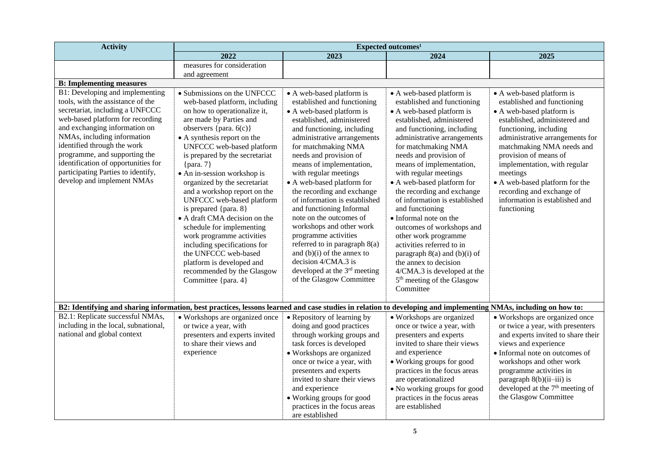| <b>Activity</b>                                                                                                                                                                                                                                                                                                                                                                        | Expected outcomes <sup>1</sup>                                                                                                                                                                                                                                                                                                                                                                                                                                                                                                                                                                                                                                |                                                                                                                                                                                                                                                                                                                                                                                                                                                                                                                                                                                                                                                               |                                                                                                                                                                                                                                                                                                                                                                                                                                                                                                                                                                                                                                                                      |                                                                                                                                                                                                                                                                                                                                                                                                       |
|----------------------------------------------------------------------------------------------------------------------------------------------------------------------------------------------------------------------------------------------------------------------------------------------------------------------------------------------------------------------------------------|---------------------------------------------------------------------------------------------------------------------------------------------------------------------------------------------------------------------------------------------------------------------------------------------------------------------------------------------------------------------------------------------------------------------------------------------------------------------------------------------------------------------------------------------------------------------------------------------------------------------------------------------------------------|---------------------------------------------------------------------------------------------------------------------------------------------------------------------------------------------------------------------------------------------------------------------------------------------------------------------------------------------------------------------------------------------------------------------------------------------------------------------------------------------------------------------------------------------------------------------------------------------------------------------------------------------------------------|----------------------------------------------------------------------------------------------------------------------------------------------------------------------------------------------------------------------------------------------------------------------------------------------------------------------------------------------------------------------------------------------------------------------------------------------------------------------------------------------------------------------------------------------------------------------------------------------------------------------------------------------------------------------|-------------------------------------------------------------------------------------------------------------------------------------------------------------------------------------------------------------------------------------------------------------------------------------------------------------------------------------------------------------------------------------------------------|
|                                                                                                                                                                                                                                                                                                                                                                                        | 2022                                                                                                                                                                                                                                                                                                                                                                                                                                                                                                                                                                                                                                                          | 2023                                                                                                                                                                                                                                                                                                                                                                                                                                                                                                                                                                                                                                                          | 2024                                                                                                                                                                                                                                                                                                                                                                                                                                                                                                                                                                                                                                                                 | 2025                                                                                                                                                                                                                                                                                                                                                                                                  |
|                                                                                                                                                                                                                                                                                                                                                                                        | measures for consideration                                                                                                                                                                                                                                                                                                                                                                                                                                                                                                                                                                                                                                    |                                                                                                                                                                                                                                                                                                                                                                                                                                                                                                                                                                                                                                                               |                                                                                                                                                                                                                                                                                                                                                                                                                                                                                                                                                                                                                                                                      |                                                                                                                                                                                                                                                                                                                                                                                                       |
|                                                                                                                                                                                                                                                                                                                                                                                        | and agreement                                                                                                                                                                                                                                                                                                                                                                                                                                                                                                                                                                                                                                                 |                                                                                                                                                                                                                                                                                                                                                                                                                                                                                                                                                                                                                                                               |                                                                                                                                                                                                                                                                                                                                                                                                                                                                                                                                                                                                                                                                      |                                                                                                                                                                                                                                                                                                                                                                                                       |
| <b>B:</b> Implementing measures                                                                                                                                                                                                                                                                                                                                                        |                                                                                                                                                                                                                                                                                                                                                                                                                                                                                                                                                                                                                                                               |                                                                                                                                                                                                                                                                                                                                                                                                                                                                                                                                                                                                                                                               |                                                                                                                                                                                                                                                                                                                                                                                                                                                                                                                                                                                                                                                                      |                                                                                                                                                                                                                                                                                                                                                                                                       |
| B1: Developing and implementing<br>tools, with the assistance of the<br>secretariat, including a UNFCCC<br>web-based platform for recording<br>and exchanging information on<br>NMAs, including information<br>identified through the work<br>programme, and supporting the<br>identification of opportunities for<br>participating Parties to identify,<br>develop and implement NMAs | • Submissions on the UNFCCC<br>web-based platform, including<br>on how to operationalize it,<br>are made by Parties and<br>observers {para. $6(c)$ }<br>• A synthesis report on the<br>UNFCCC web-based platform<br>is prepared by the secretariat<br>$\{para. 7\}$<br>• An in-session workshop is<br>organized by the secretariat<br>and a workshop report on the<br>UNFCCC web-based platform<br>is prepared {para. 8}<br>• A draft CMA decision on the<br>schedule for implementing<br>work programme activities<br>including specifications for<br>the UNFCCC web-based<br>platform is developed and<br>recommended by the Glasgow<br>Committee {para. 4} | • A web-based platform is<br>established and functioning<br>• A web-based platform is<br>established, administered<br>and functioning, including<br>administrative arrangements<br>for matchmaking NMA<br>needs and provision of<br>means of implementation,<br>with regular meetings<br>• A web-based platform for<br>the recording and exchange<br>of information is established<br>and functioning Informal<br>note on the outcomes of<br>workshops and other work<br>programme activities<br>referred to in paragraph 8(a)<br>and $(b)(i)$ of the annex to<br>decision 4/CMA.3 is<br>developed at the 3 <sup>rd</sup> meeting<br>of the Glasgow Committee | • A web-based platform is<br>established and functioning<br>• A web-based platform is<br>established, administered<br>and functioning, including<br>administrative arrangements<br>for matchmaking NMA<br>needs and provision of<br>means of implementation,<br>with regular meetings<br>• A web-based platform for<br>the recording and exchange<br>of information is established<br>and functioning<br>• Informal note on the<br>outcomes of workshops and<br>other work programme<br>activities referred to in<br>paragraph $8(a)$ and $(b)(i)$ of<br>the annex to decision<br>4/CMA.3 is developed at the<br>5 <sup>th</sup> meeting of the Glasgow<br>Committee | • A web-based platform is<br>established and functioning<br>• A web-based platform is<br>established, administered and<br>functioning, including<br>administrative arrangements for<br>matchmaking NMA needs and<br>provision of means of<br>implementation, with regular<br>meetings<br>• A web-based platform for the<br>recording and exchange of<br>information is established and<br>functioning |
| B2: Identifying and sharing information, best practices, lessons learned and case studies in relation to developing and implementing NMAs, including on how to:                                                                                                                                                                                                                        |                                                                                                                                                                                                                                                                                                                                                                                                                                                                                                                                                                                                                                                               |                                                                                                                                                                                                                                                                                                                                                                                                                                                                                                                                                                                                                                                               |                                                                                                                                                                                                                                                                                                                                                                                                                                                                                                                                                                                                                                                                      |                                                                                                                                                                                                                                                                                                                                                                                                       |
| B2.1: Replicate successful NMAs,<br>including in the local, subnational,<br>national and global context                                                                                                                                                                                                                                                                                | • Workshops are organized once<br>or twice a year, with<br>presenters and experts invited<br>to share their views and<br>experience                                                                                                                                                                                                                                                                                                                                                                                                                                                                                                                           | • Repository of learning by<br>doing and good practices<br>through working groups and<br>task forces is developed<br>• Workshops are organized<br>once or twice a year, with<br>presenters and experts<br>invited to share their views<br>and experience<br>• Working groups for good<br>practices in the focus areas<br>are established                                                                                                                                                                                                                                                                                                                      | • Workshops are organized<br>once or twice a year, with<br>presenters and experts<br>invited to share their views<br>and experience<br>• Working groups for good<br>practices in the focus areas<br>are operationalized<br>• No working groups for good<br>practices in the focus areas<br>are established                                                                                                                                                                                                                                                                                                                                                           | • Workshops are organized once<br>or twice a year, with presenters<br>and experts invited to share their<br>views and experience<br>• Informal note on outcomes of<br>workshops and other work<br>programme activities in<br>paragraph 8(b)(ii-iii) is<br>developed at the 7 <sup>th</sup> meeting of<br>the Glasgow Committee                                                                        |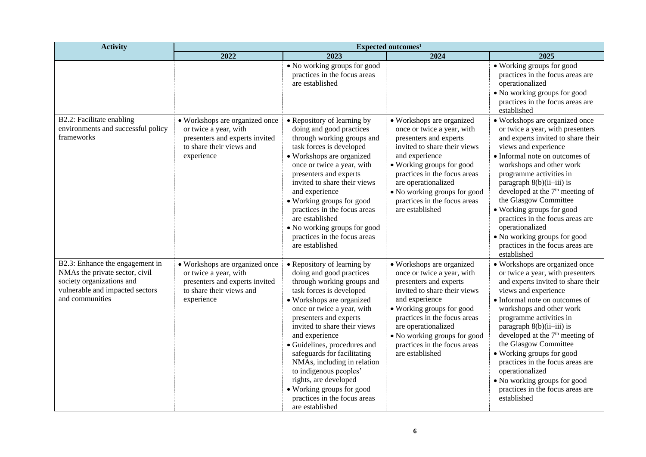| <b>Activity</b>                                                                                                                                      | Expected outcomes <sup>1</sup>                                                                                                      |                                                                                                                                                                                                                                                                                                                                                                                                                                                                                           |                                                                                                                                                                                                                                                                                                            |                                                                                                                                                                                                                                                                                                                                                                                                                                                                                                         |
|------------------------------------------------------------------------------------------------------------------------------------------------------|-------------------------------------------------------------------------------------------------------------------------------------|-------------------------------------------------------------------------------------------------------------------------------------------------------------------------------------------------------------------------------------------------------------------------------------------------------------------------------------------------------------------------------------------------------------------------------------------------------------------------------------------|------------------------------------------------------------------------------------------------------------------------------------------------------------------------------------------------------------------------------------------------------------------------------------------------------------|---------------------------------------------------------------------------------------------------------------------------------------------------------------------------------------------------------------------------------------------------------------------------------------------------------------------------------------------------------------------------------------------------------------------------------------------------------------------------------------------------------|
|                                                                                                                                                      | 2022                                                                                                                                | 2023                                                                                                                                                                                                                                                                                                                                                                                                                                                                                      | 2024                                                                                                                                                                                                                                                                                                       | 2025                                                                                                                                                                                                                                                                                                                                                                                                                                                                                                    |
|                                                                                                                                                      |                                                                                                                                     | • No working groups for good<br>practices in the focus areas<br>are established                                                                                                                                                                                                                                                                                                                                                                                                           |                                                                                                                                                                                                                                                                                                            | • Working groups for good<br>practices in the focus areas are<br>operationalized<br>• No working groups for good<br>practices in the focus areas are<br>established                                                                                                                                                                                                                                                                                                                                     |
| B2.2: Facilitate enabling<br>environments and successful policy<br>frameworks                                                                        | · Workshops are organized once<br>or twice a year, with<br>presenters and experts invited<br>to share their views and<br>experience | • Repository of learning by<br>doing and good practices<br>through working groups and<br>task forces is developed<br>• Workshops are organized<br>once or twice a year, with<br>presenters and experts<br>invited to share their views<br>and experience<br>• Working groups for good<br>practices in the focus areas<br>are established<br>• No working groups for good<br>practices in the focus areas<br>are established                                                               | • Workshops are organized<br>once or twice a year, with<br>presenters and experts<br>invited to share their views<br>and experience<br>• Working groups for good<br>practices in the focus areas<br>are operationalized<br>• No working groups for good<br>practices in the focus areas<br>are established | • Workshops are organized once<br>or twice a year, with presenters<br>and experts invited to share their<br>views and experience<br>• Informal note on outcomes of<br>workshops and other work<br>programme activities in<br>paragraph 8(b)(ii-iii) is<br>developed at the 7 <sup>th</sup> meeting of<br>the Glasgow Committee<br>• Working groups for good<br>practices in the focus areas are<br>operationalized<br>• No working groups for good<br>practices in the focus areas are<br>established   |
| B2.3: Enhance the engagement in<br>NMAs the private sector, civil<br>society organizations and<br>vulnerable and impacted sectors<br>and communities | • Workshops are organized once<br>or twice a year, with<br>presenters and experts invited<br>to share their views and<br>experience | • Repository of learning by<br>doing and good practices<br>through working groups and<br>task forces is developed<br>• Workshops are organized<br>once or twice a year, with<br>presenters and experts<br>invited to share their views<br>and experience<br>· Guidelines, procedures and<br>safeguards for facilitating<br>NMAs, including in relation<br>to indigenous peoples'<br>rights, are developed<br>· Working groups for good<br>practices in the focus areas<br>are established | · Workshops are organized<br>once or twice a year, with<br>presenters and experts<br>invited to share their views<br>and experience<br>• Working groups for good<br>practices in the focus areas<br>are operationalized<br>• No working groups for good<br>practices in the focus areas<br>are established | • Workshops are organized once<br>or twice a year, with presenters<br>and experts invited to share their<br>views and experience<br>• Informal note on outcomes of<br>workshops and other work<br>programme activities in<br>paragraph $8(b)(ii-iii)$ is<br>developed at the 7 <sup>th</sup> meeting of<br>the Glasgow Committee<br>• Working groups for good<br>practices in the focus areas are<br>operationalized<br>. No working groups for good<br>practices in the focus areas are<br>established |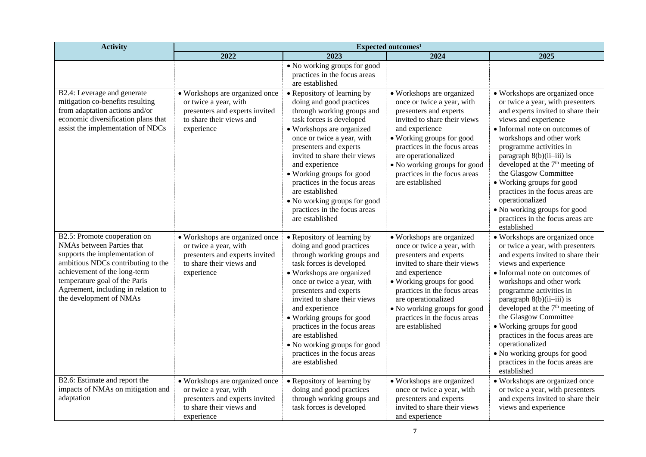| <b>Activity</b>                                                                                                                                                                                                                                                      | Expected outcomes <sup>1</sup>                                                                                                      |                                                                                                                                                                                                                                                                                                                                                                                                                             |                                                                                                                                                                                                                                                                                                            |                                                                                                                                                                                                                                                                                                                                                                                                                                                                                                         |
|----------------------------------------------------------------------------------------------------------------------------------------------------------------------------------------------------------------------------------------------------------------------|-------------------------------------------------------------------------------------------------------------------------------------|-----------------------------------------------------------------------------------------------------------------------------------------------------------------------------------------------------------------------------------------------------------------------------------------------------------------------------------------------------------------------------------------------------------------------------|------------------------------------------------------------------------------------------------------------------------------------------------------------------------------------------------------------------------------------------------------------------------------------------------------------|---------------------------------------------------------------------------------------------------------------------------------------------------------------------------------------------------------------------------------------------------------------------------------------------------------------------------------------------------------------------------------------------------------------------------------------------------------------------------------------------------------|
|                                                                                                                                                                                                                                                                      | 2022                                                                                                                                | 2023                                                                                                                                                                                                                                                                                                                                                                                                                        | 2024                                                                                                                                                                                                                                                                                                       | 2025                                                                                                                                                                                                                                                                                                                                                                                                                                                                                                    |
|                                                                                                                                                                                                                                                                      |                                                                                                                                     | • No working groups for good<br>practices in the focus areas<br>are established                                                                                                                                                                                                                                                                                                                                             |                                                                                                                                                                                                                                                                                                            |                                                                                                                                                                                                                                                                                                                                                                                                                                                                                                         |
| B2.4: Leverage and generate<br>mitigation co-benefits resulting<br>from adaptation actions and/or<br>economic diversification plans that<br>assist the implementation of NDCs                                                                                        | • Workshops are organized once<br>or twice a year, with<br>presenters and experts invited<br>to share their views and<br>experience | • Repository of learning by<br>doing and good practices<br>through working groups and<br>task forces is developed<br>• Workshops are organized<br>once or twice a year, with<br>presenters and experts<br>invited to share their views<br>and experience<br>• Working groups for good<br>practices in the focus areas<br>are established<br>• No working groups for good<br>practices in the focus areas<br>are established | • Workshops are organized<br>once or twice a year, with<br>presenters and experts<br>invited to share their views<br>and experience<br>• Working groups for good<br>practices in the focus areas<br>are operationalized<br>• No working groups for good<br>practices in the focus areas<br>are established | • Workshops are organized once<br>or twice a year, with presenters<br>and experts invited to share their<br>views and experience<br>• Informal note on outcomes of<br>workshops and other work<br>programme activities in<br>paragraph $8(b)(ii-iii)$ is<br>developed at the 7 <sup>th</sup> meeting of<br>the Glasgow Committee<br>• Working groups for good<br>practices in the focus areas are<br>operationalized<br>• No working groups for good<br>practices in the focus areas are<br>established |
| B2.5: Promote cooperation on<br>NMAs between Parties that<br>supports the implementation of<br>ambitious NDCs contributing to the<br>achievement of the long-term<br>temperature goal of the Paris<br>Agreement, including in relation to<br>the development of NMAs | • Workshops are organized once<br>or twice a year, with<br>presenters and experts invited<br>to share their views and<br>experience | • Repository of learning by<br>doing and good practices<br>through working groups and<br>task forces is developed<br>• Workshops are organized<br>once or twice a year, with<br>presenters and experts<br>invited to share their views<br>and experience<br>• Working groups for good<br>practices in the focus areas<br>are established<br>• No working groups for good<br>practices in the focus areas<br>are established | • Workshops are organized<br>once or twice a year, with<br>presenters and experts<br>invited to share their views<br>and experience<br>• Working groups for good<br>practices in the focus areas<br>are operationalized<br>• No working groups for good<br>practices in the focus areas<br>are established | · Workshops are organized once<br>or twice a year, with presenters<br>and experts invited to share their<br>views and experience<br>• Informal note on outcomes of<br>workshops and other work<br>programme activities in<br>paragraph $8(b)(ii-iii)$ is<br>developed at the 7 <sup>th</sup> meeting of<br>the Glasgow Committee<br>• Working groups for good<br>practices in the focus areas are<br>operationalized<br>• No working groups for good<br>practices in the focus areas are<br>established |
| B2.6: Estimate and report the<br>impacts of NMAs on mitigation and<br>adaptation                                                                                                                                                                                     | • Workshops are organized once<br>or twice a year, with<br>presenters and experts invited<br>to share their views and<br>experience | • Repository of learning by<br>doing and good practices<br>through working groups and<br>task forces is developed                                                                                                                                                                                                                                                                                                           | • Workshops are organized<br>once or twice a year, with<br>presenters and experts<br>invited to share their views<br>and experience                                                                                                                                                                        | • Workshops are organized once<br>or twice a year, with presenters<br>and experts invited to share their<br>views and experience                                                                                                                                                                                                                                                                                                                                                                        |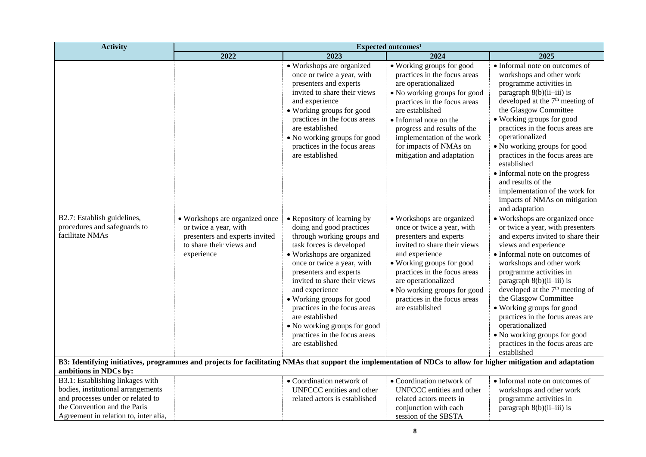| <b>Activity</b>                                                                                                                                                                                                                                    | Expected outcomes <sup>1</sup>                                                                                                      |                                                                                                                                                                                                                                                                                                                                                                                                                             |                                                                                                                                                                                                                                                                                                                   |                                                                                                                                                                                                                                                                                                                                                                                                                                                                                                                   |
|----------------------------------------------------------------------------------------------------------------------------------------------------------------------------------------------------------------------------------------------------|-------------------------------------------------------------------------------------------------------------------------------------|-----------------------------------------------------------------------------------------------------------------------------------------------------------------------------------------------------------------------------------------------------------------------------------------------------------------------------------------------------------------------------------------------------------------------------|-------------------------------------------------------------------------------------------------------------------------------------------------------------------------------------------------------------------------------------------------------------------------------------------------------------------|-------------------------------------------------------------------------------------------------------------------------------------------------------------------------------------------------------------------------------------------------------------------------------------------------------------------------------------------------------------------------------------------------------------------------------------------------------------------------------------------------------------------|
|                                                                                                                                                                                                                                                    | 2022                                                                                                                                | 2023                                                                                                                                                                                                                                                                                                                                                                                                                        | 2024                                                                                                                                                                                                                                                                                                              | 2025                                                                                                                                                                                                                                                                                                                                                                                                                                                                                                              |
|                                                                                                                                                                                                                                                    |                                                                                                                                     | • Workshops are organized<br>once or twice a year, with<br>presenters and experts<br>invited to share their views<br>and experience<br>• Working groups for good<br>practices in the focus areas<br>are established<br>• No working groups for good<br>practices in the focus areas<br>are established                                                                                                                      | • Working groups for good<br>practices in the focus areas<br>are operationalized<br>• No working groups for good<br>practices in the focus areas<br>are established<br>• Informal note on the<br>progress and results of the<br>implementation of the work<br>for impacts of NMAs on<br>mitigation and adaptation | · Informal note on outcomes of<br>workshops and other work<br>programme activities in<br>paragraph $8(b)(ii-iii)$ is<br>developed at the 7 <sup>th</sup> meeting of<br>the Glasgow Committee<br>• Working groups for good<br>practices in the focus areas are<br>operationalized<br>• No working groups for good<br>practices in the focus areas are<br>established<br>• Informal note on the progress<br>and results of the<br>implementation of the work for<br>impacts of NMAs on mitigation<br>and adaptation |
| B2.7: Establish guidelines,<br>procedures and safeguards to<br>facilitate NMAs<br>B3: Identifying initiatives, programmes and projects for facilitating NMAs that support the implementation of NDCs to allow for higher mitigation and adaptation | • Workshops are organized once<br>or twice a year, with<br>presenters and experts invited<br>to share their views and<br>experience | • Repository of learning by<br>doing and good practices<br>through working groups and<br>task forces is developed<br>• Workshops are organized<br>once or twice a year, with<br>presenters and experts<br>invited to share their views<br>and experience<br>• Working groups for good<br>practices in the focus areas<br>are established<br>• No working groups for good<br>practices in the focus areas<br>are established | • Workshops are organized<br>once or twice a year, with<br>presenters and experts<br>invited to share their views<br>and experience<br>• Working groups for good<br>practices in the focus areas<br>are operationalized<br>• No working groups for good<br>practices in the focus areas<br>are established        | • Workshops are organized once<br>or twice a year, with presenters<br>and experts invited to share their<br>views and experience<br>• Informal note on outcomes of<br>workshops and other work<br>programme activities in<br>paragraph $8(b)(ii-iii)$ is<br>developed at the 7 <sup>th</sup> meeting of<br>the Glasgow Committee<br>• Working groups for good<br>practices in the focus areas are<br>operationalized<br>• No working groups for good<br>practices in the focus areas are<br>established           |
| ambitions in NDCs by:<br>B3.1: Establishing linkages with                                                                                                                                                                                          |                                                                                                                                     | • Coordination network of                                                                                                                                                                                                                                                                                                                                                                                                   | • Coordination network of                                                                                                                                                                                                                                                                                         | • Informal note on outcomes of                                                                                                                                                                                                                                                                                                                                                                                                                                                                                    |
| bodies, institutional arrangements<br>and processes under or related to                                                                                                                                                                            |                                                                                                                                     | UNFCCC entities and other                                                                                                                                                                                                                                                                                                                                                                                                   | UNFCCC entities and other                                                                                                                                                                                                                                                                                         | workshops and other work                                                                                                                                                                                                                                                                                                                                                                                                                                                                                          |
| the Convention and the Paris                                                                                                                                                                                                                       |                                                                                                                                     | related actors is established                                                                                                                                                                                                                                                                                                                                                                                               | related actors meets in<br>conjunction with each                                                                                                                                                                                                                                                                  | programme activities in<br>paragraph 8(b)(ii-iii) is                                                                                                                                                                                                                                                                                                                                                                                                                                                              |
| Agreement in relation to, inter alia,                                                                                                                                                                                                              |                                                                                                                                     |                                                                                                                                                                                                                                                                                                                                                                                                                             | session of the SBSTA                                                                                                                                                                                                                                                                                              |                                                                                                                                                                                                                                                                                                                                                                                                                                                                                                                   |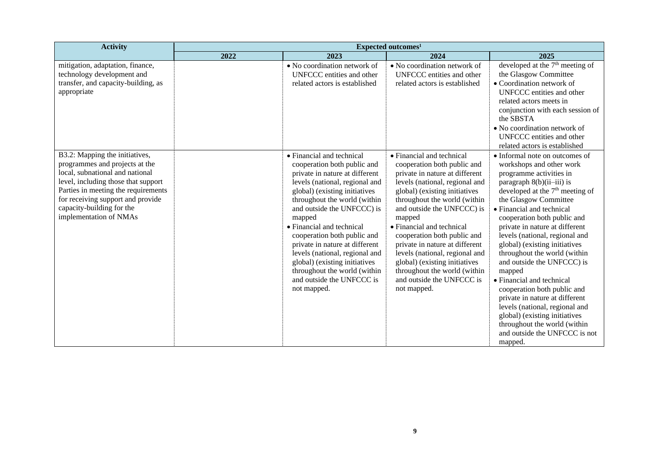| <b>Activity</b>                                                                                                                                                                                                                                                               | Expected outcomes <sup>1</sup> |                                                                                                                                                                                                                                                                                                                                                                                                                                                                                    |                                                                                                                                                                                                                                                                                                                                                                                                                                                                                    |                                                                                                                                                                                                                                                                                                                                                                                                                                                                                                                                                                                                                                                                                    |
|-------------------------------------------------------------------------------------------------------------------------------------------------------------------------------------------------------------------------------------------------------------------------------|--------------------------------|------------------------------------------------------------------------------------------------------------------------------------------------------------------------------------------------------------------------------------------------------------------------------------------------------------------------------------------------------------------------------------------------------------------------------------------------------------------------------------|------------------------------------------------------------------------------------------------------------------------------------------------------------------------------------------------------------------------------------------------------------------------------------------------------------------------------------------------------------------------------------------------------------------------------------------------------------------------------------|------------------------------------------------------------------------------------------------------------------------------------------------------------------------------------------------------------------------------------------------------------------------------------------------------------------------------------------------------------------------------------------------------------------------------------------------------------------------------------------------------------------------------------------------------------------------------------------------------------------------------------------------------------------------------------|
|                                                                                                                                                                                                                                                                               | 2022                           | 2023                                                                                                                                                                                                                                                                                                                                                                                                                                                                               | 2024                                                                                                                                                                                                                                                                                                                                                                                                                                                                               | 2025                                                                                                                                                                                                                                                                                                                                                                                                                                                                                                                                                                                                                                                                               |
| mitigation, adaptation, finance,<br>technology development and<br>transfer, and capacity-building, as<br>appropriate                                                                                                                                                          |                                | • No coordination network of<br>UNFCCC entities and other<br>related actors is established                                                                                                                                                                                                                                                                                                                                                                                         | • No coordination network of<br>UNFCCC entities and other<br>related actors is established                                                                                                                                                                                                                                                                                                                                                                                         | developed at the 7 <sup>th</sup> meeting of<br>the Glasgow Committee<br>• Coordination network of<br>UNFCCC entities and other<br>related actors meets in<br>conjunction with each session of<br>the SBSTA<br>• No coordination network of<br>UNFCCC entities and other<br>related actors is established                                                                                                                                                                                                                                                                                                                                                                           |
| B3.2: Mapping the initiatives,<br>programmes and projects at the<br>local, subnational and national<br>level, including those that support<br>Parties in meeting the requirements<br>for receiving support and provide<br>capacity-building for the<br>implementation of NMAs |                                | • Financial and technical<br>cooperation both public and<br>private in nature at different<br>levels (national, regional and<br>global) (existing initiatives<br>throughout the world (within<br>and outside the UNFCCC) is<br>mapped<br>• Financial and technical<br>cooperation both public and<br>private in nature at different<br>levels (national, regional and<br>global) (existing initiatives<br>throughout the world (within<br>and outside the UNFCCC is<br>not mapped. | • Financial and technical<br>cooperation both public and<br>private in nature at different<br>levels (national, regional and<br>global) (existing initiatives<br>throughout the world (within<br>and outside the UNFCCC) is<br>mapped<br>• Financial and technical<br>cooperation both public and<br>private in nature at different<br>levels (national, regional and<br>global) (existing initiatives<br>throughout the world (within<br>and outside the UNFCCC is<br>not mapped. | • Informal note on outcomes of<br>workshops and other work<br>programme activities in<br>paragraph $8(b)(ii-iii)$ is<br>developed at the 7 <sup>th</sup> meeting of<br>the Glasgow Committee<br>• Financial and technical<br>cooperation both public and<br>private in nature at different<br>levels (national, regional and<br>global) (existing initiatives<br>throughout the world (within<br>and outside the UNFCCC) is<br>mapped<br>• Financial and technical<br>cooperation both public and<br>private in nature at different<br>levels (national, regional and<br>global) (existing initiatives<br>throughout the world (within<br>and outside the UNFCCC is not<br>mapped. |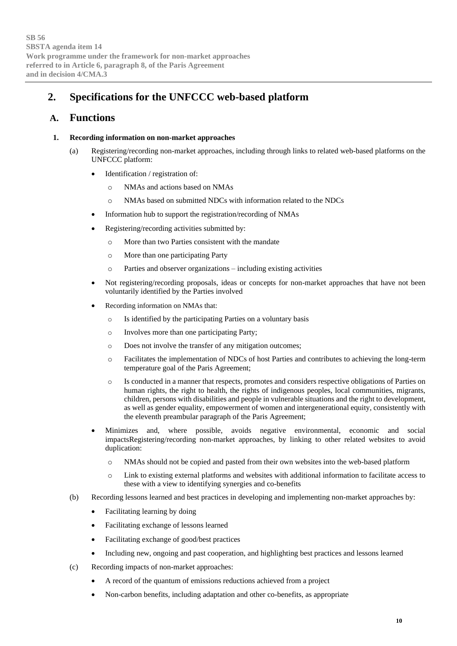## **2. Specifications for the UNFCCC web-based platform**

## **A. Functions**

#### **1. Recording information on non-market approaches**

- (a) Registering/recording non-market approaches, including through links to related web-based platforms on the UNFCCC platform:
	- Identification / registration of:
		- o NMAs and actions based on NMAs
		- o NMAs based on submitted NDCs with information related to the NDCs
	- Information hub to support the registration/recording of NMAs
	- Registering/recording activities submitted by:
		- o More than two Parties consistent with the mandate
		- o More than one participating Party
		- o Parties and observer organizations including existing activities
	- Not registering/recording proposals, ideas or concepts for non-market approaches that have not been voluntarily identified by the Parties involved
	- Recording information on NMAs that:
		- o Is identified by the participating Parties on a voluntary basis
		- o Involves more than one participating Party;
		- o Does not involve the transfer of any mitigation outcomes;
		- o Facilitates the implementation of NDCs of host Parties and contributes to achieving the long-term temperature goal of the Paris Agreement;
		- o Is conducted in a manner that respects, promotes and considers respective obligations of Parties on human rights, the right to health, the rights of indigenous peoples, local communities, migrants, children, persons with disabilities and people in vulnerable situations and the right to development, as well as gender equality, empowerment of women and intergenerational equity, consistently with the eleventh preambular paragraph of the Paris Agreement;
	- Minimizes and, where possible, avoids negative environmental, economic and social impactsRegistering/recording non-market approaches, by linking to other related websites to avoid duplication:
		- o NMAs should not be copied and pasted from their own websites into the web-based platform
		- o Link to existing external platforms and websites with additional information to facilitate access to these with a view to identifying synergies and co-benefits
- (b) Recording lessons learned and best practices in developing and implementing non-market approaches by:
	- Facilitating learning by doing
	- Facilitating exchange of lessons learned
	- Facilitating exchange of good/best practices
	- Including new, ongoing and past cooperation, and highlighting best practices and lessons learned
- (c) Recording impacts of non-market approaches:
	- A record of the quantum of emissions reductions achieved from a project
	- Non-carbon benefits, including adaptation and other co-benefits, as appropriate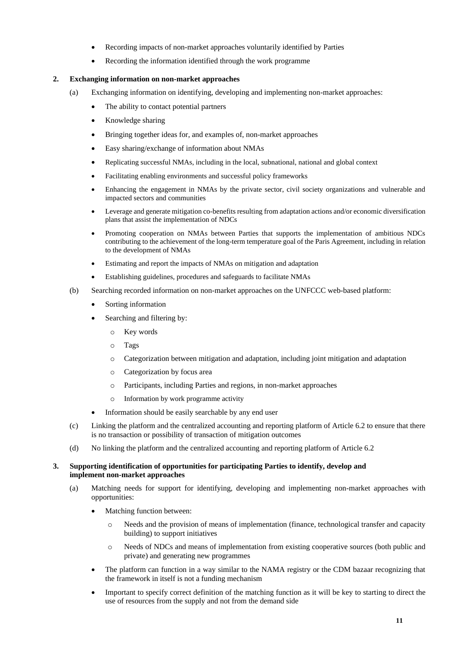- Recording impacts of non-market approaches voluntarily identified by Parties
- Recording the information identified through the work programme

#### **2. Exchanging information on non-market approaches**

- (a) Exchanging information on identifying, developing and implementing non-market approaches:
	- The ability to contact potential partners
	- Knowledge sharing
	- Bringing together ideas for, and examples of, non-market approaches
	- Easy sharing/exchange of information about NMAs
	- Replicating successful NMAs, including in the local, subnational, national and global context
	- Facilitating enabling environments and successful policy frameworks
	- Enhancing the engagement in NMAs by the private sector, civil society organizations and vulnerable and impacted sectors and communities
	- Leverage and generate mitigation co-benefits resulting from adaptation actions and/or economic diversification plans that assist the implementation of NDCs
	- Promoting cooperation on NMAs between Parties that supports the implementation of ambitious NDCs contributing to the achievement of the long-term temperature goal of the Paris Agreement, including in relation to the development of NMAs
	- Estimating and report the impacts of NMAs on mitigation and adaptation
	- Establishing guidelines, procedures and safeguards to facilitate NMAs
- (b) Searching recorded information on non-market approaches on the UNFCCC web-based platform:
	- Sorting information
	- Searching and filtering by:
		- o Key words
		- o Tags
		- o Categorization between mitigation and adaptation, including joint mitigation and adaptation
		- o Categorization by focus area
		- o Participants, including Parties and regions, in non-market approaches
		- o Information by work programme activity
	- Information should be easily searchable by any end user
- (c) Linking the platform and the centralized accounting and reporting platform of Article 6.2 to ensure that there is no transaction or possibility of transaction of mitigation outcomes
- (d) No linking the platform and the centralized accounting and reporting platform of Article 6.2

#### **3. Supporting identification of opportunities for participating Parties to identify, develop and implement non-market approaches**

- (a) Matching needs for support for identifying, developing and implementing non-market approaches with opportunities:
	- Matching function between:
		- o Needs and the provision of means of implementation (finance, technological transfer and capacity building) to support initiatives
		- o Needs of NDCs and means of implementation from existing cooperative sources (both public and private) and generating new programmes
	- The platform can function in a way similar to the NAMA registry or the CDM bazaar recognizing that the framework in itself is not a funding mechanism
	- Important to specify correct definition of the matching function as it will be key to starting to direct the use of resources from the supply and not from the demand side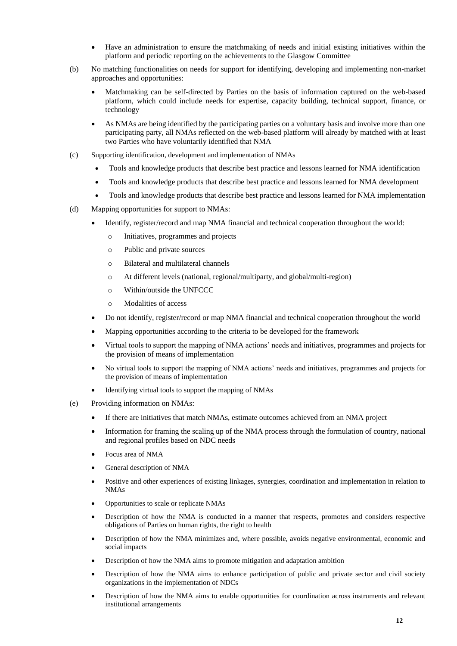- Have an administration to ensure the matchmaking of needs and initial existing initiatives within the platform and periodic reporting on the achievements to the Glasgow Committee
- (b) No matching functionalities on needs for support for identifying, developing and implementing non-market approaches and opportunities:
	- Matchmaking can be self-directed by Parties on the basis of information captured on the web-based platform, which could include needs for expertise, capacity building, technical support, finance, or technology
	- As NMAs are being identified by the participating parties on a voluntary basis and involve more than one participating party, all NMAs reflected on the web-based platform will already by matched with at least two Parties who have voluntarily identified that NMA
- (c) Supporting identification, development and implementation of NMAs
	- Tools and knowledge products that describe best practice and lessons learned for NMA identification
	- Tools and knowledge products that describe best practice and lessons learned for NMA development
	- Tools and knowledge products that describe best practice and lessons learned for NMA implementation
- (d) Mapping opportunities for support to NMAs:
	- Identify, register/record and map NMA financial and technical cooperation throughout the world:
		- o Initiatives, programmes and projects
		- o Public and private sources
		- o Bilateral and multilateral channels
		- o At different levels (national, regional/multiparty, and global/multi-region)
		- o Within/outside the UNFCCC
		- o Modalities of access
	- Do not identify, register/record or map NMA financial and technical cooperation throughout the world
	- Mapping opportunities according to the criteria to be developed for the framework
	- Virtual tools to support the mapping of NMA actions' needs and initiatives, programmes and projects for the provision of means of implementation
	- No virtual tools to support the mapping of NMA actions' needs and initiatives, programmes and projects for the provision of means of implementation
	- Identifying virtual tools to support the mapping of NMAs
- (e) Providing information on NMAs:
	- If there are initiatives that match NMAs, estimate outcomes achieved from an NMA project
	- Information for framing the scaling up of the NMA process through the formulation of country, national and regional profiles based on NDC needs
	- Focus area of NMA
	- General description of NMA
	- Positive and other experiences of existing linkages, synergies, coordination and implementation in relation to NMAs
	- Opportunities to scale or replicate NMAs
	- Description of how the NMA is conducted in a manner that respects, promotes and considers respective obligations of Parties on human rights, the right to health
	- Description of how the NMA minimizes and, where possible, avoids negative environmental, economic and social impacts
	- Description of how the NMA aims to promote mitigation and adaptation ambition
	- Description of how the NMA aims to enhance participation of public and private sector and civil society organizations in the implementation of NDCs
	- Description of how the NMA aims to enable opportunities for coordination across instruments and relevant institutional arrangements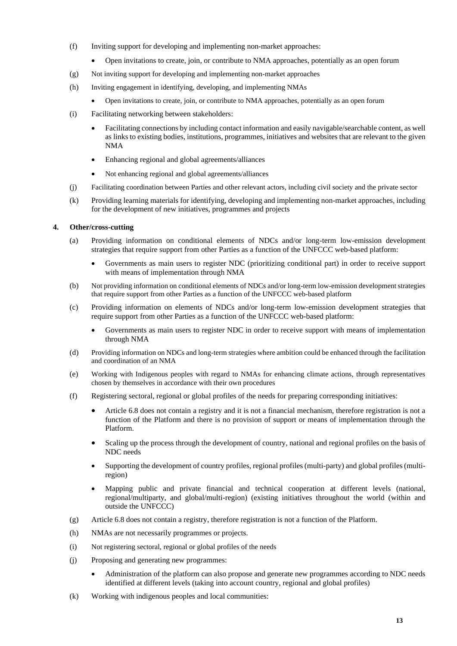- (f) Inviting support for developing and implementing non-market approaches:
	- Open invitations to create, join, or contribute to NMA approaches, potentially as an open forum
- (g) Not inviting support for developing and implementing non-market approaches
- (h) Inviting engagement in identifying, developing, and implementing NMAs
	- Open invitations to create, join, or contribute to NMA approaches, potentially as an open forum
- (i) Facilitating networking between stakeholders:
	- Facilitating connections by including contact information and easily navigable/searchable content, as well as links to existing bodies, institutions, programmes, initiatives and websites that are relevant to the given NMA
	- Enhancing regional and global agreements/alliances
	- Not enhancing regional and global agreements/alliances
- (j) Facilitating coordination between Parties and other relevant actors, including civil society and the private sector
- (k) Providing learning materials for identifying, developing and implementing non-market approaches, including for the development of new initiatives, programmes and projects

#### **4. Other/cross-cutting**

- (a) Providing information on conditional elements of NDCs and/or long-term low-emission development strategies that require support from other Parties as a function of the UNFCCC web-based platform:
	- Governments as main users to register NDC (prioritizing conditional part) in order to receive support with means of implementation through NMA
- (b) Not providing information on conditional elements of NDCs and/or long-term low-emission development strategies that require support from other Parties as a function of the UNFCCC web-based platform
- (c) Providing information on elements of NDCs and/or long-term low-emission development strategies that require support from other Parties as a function of the UNFCCC web-based platform:
	- Governments as main users to register NDC in order to receive support with means of implementation through NMA
- (d) Providing information on NDCs and long-term strategies where ambition could be enhanced through the facilitation and coordination of an NMA
- (e) Working with Indigenous peoples with regard to NMAs for enhancing climate actions, through representatives chosen by themselves in accordance with their own procedures
- (f) Registering sectoral, regional or global profiles of the needs for preparing corresponding initiatives:
	- Article 6.8 does not contain a registry and it is not a financial mechanism, therefore registration is not a function of the Platform and there is no provision of support or means of implementation through the Platform.
	- Scaling up the process through the development of country, national and regional profiles on the basis of NDC needs
	- Supporting the development of country profiles, regional profiles (multi-party) and global profiles (multiregion)
	- Mapping public and private financial and technical cooperation at different levels (national, regional/multiparty, and global/multi-region) (existing initiatives throughout the world (within and outside the UNFCCC)
- (g) Article 6.8 does not contain a registry, therefore registration is not a function of the Platform.
- (h) NMAs are not necessarily programmes or projects.
- (i) Not registering sectoral, regional or global profiles of the needs
- (j) Proposing and generating new programmes:
	- Administration of the platform can also propose and generate new programmes according to NDC needs identified at different levels (taking into account country, regional and global profiles)
- (k) Working with indigenous peoples and local communities: